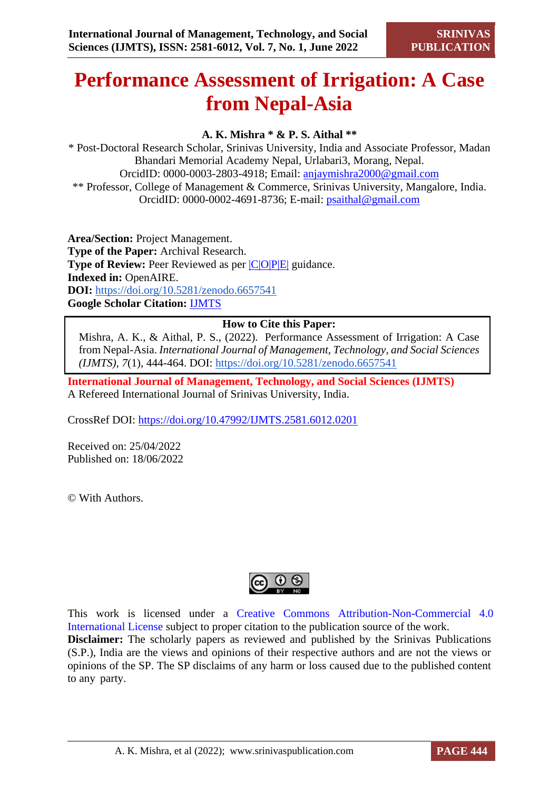# **Performance Assessment of Irrigation: A Case from Nepal-Asia**

## **A. K. Mishra \* & P. S. Aithal \*\***

\* Post-Doctoral Research Scholar, Srinivas University, India and Associate Professor, Madan Bhandari Memorial Academy Nepal, Urlabari3, Morang, Nepal. OrcidID: 0000-0003-2803-4918; Email: [anjaymishra2000@gmail.com](mailto:anjaymishra2000@gmail.com) \*\* Professor, College of Management & Commerce, Srinivas University, Mangalore, India. OrcidID: 0000-0002-4691-8736; E-mail: [psaithal@gmail.com](mailto:psaithal@gmail.com)

**Area/Section:** Project Management. **Type of the Paper:** Archival Research. **Type of Review:** Peer Reviewed as per  $|C|O||P|E|$  guidance. **Indexed in:** OpenAIRE. **DOI:** <https://doi.org/10.5281/zenodo.6657541> **Google Scholar Citation:** [IJMTS](https://scholar.google.com/citations?user=bphF0BQAAAAJ)

## **How to Cite this Paper:**

Mishra, A. K., & Aithal, P. S., (2022). Performance Assessment of Irrigation: A Case from Nepal-Asia. *International Journal of Management, Technology, and Social Sciences (IJMTS), 7*(1), 444-464. DOI:<https://doi.org/10.5281/zenodo.6657541>

**International Journal of Management, Technology, and Social Sciences (IJMTS)** A Refereed International Journal of Srinivas University, India.

CrossRef DOI: [https://doi.org/10.47992/IJMTS.2581.6012.0201](https://search.crossref.org/?q=10.47992%2FIJMTS.2581.6012.0201&from_ui=yes)

Received on: 25/04/2022 Published on: 18/06/2022

© With Authors.



This work is licensed under a Creative Commons Attribution-Non-Commercial 4.0 International License subject to proper citation to the publication source of the work. **Disclaimer:** The scholarly papers as reviewed and published by the Srinivas Publications (S.P.), India are the views and opinions of their respective authors and are not the views or opinions of the SP. The SP disclaims of any harm or loss caused due to the published content to any party.

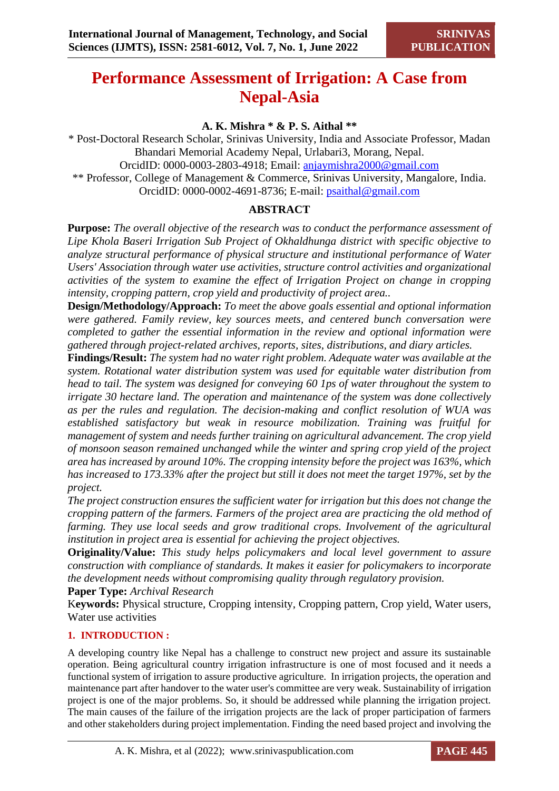## **Performance Assessment of Irrigation: A Case from Nepal-Asia**

## **A. K. Mishra \* & P. S. Aithal \*\***

\* Post-Doctoral Research Scholar, Srinivas University, India and Associate Professor, Madan Bhandari Memorial Academy Nepal, Urlabari3, Morang, Nepal. OrcidID: 0000-0003-2803-4918; Email: [anjaymishra2000@gmail.com](mailto:anjaymishra2000@gmail.com) \*\* Professor, College of Management & Commerce, Srinivas University, Mangalore, India. OrcidID: 0000-0002-4691-8736; E-mail: [psaithal@gmail.com](mailto:psaithal@gmail.com)

## **ABSTRACT**

**Purpose:** *The overall objective of the research was to conduct the performance assessment of Lipe Khola Baseri Irrigation Sub Project of Okhaldhunga district with specific objective to analyze structural performance of physical structure and institutional performance of Water Users' Association through water use activities, structure control activities and organizational activities of the system to examine the effect of Irrigation Project on change in cropping intensity, cropping pattern, crop yield and productivity of project area..* 

**Design/Methodology/Approach:** *To meet the above goals essential and optional information were gathered. Family review, key sources meets, and centered bunch conversation were completed to gather the essential information in the review and optional information were gathered through project-related archives, reports, sites, distributions, and diary articles.* 

**Findings/Result:** *The system had no water right problem. Adequate water was available at the system. Rotational water distribution system was used for equitable water distribution from head to tail. The system was designed for conveying 60 1ps of water throughout the system to irrigate 30 hectare land. The operation and maintenance of the system was done collectively as per the rules and regulation. The decision-making and conflict resolution of WUA was established satisfactory but weak in resource mobilization. Training was fruitful for management of system and needs further training on agricultural advancement. The crop yield of monsoon season remained unchanged while the winter and spring crop yield of the project area has increased by around 10%. The cropping intensity before the project was 163%, which has increased to 173.33% after the project but still it does not meet the target 197%, set by the project.*

*The project construction ensures the sufficient water for irrigation but this does not change the cropping pattern of the farmers. Farmers of the project area are practicing the old method of farming. They use local seeds and grow traditional crops. Involvement of the agricultural institution in project area is essential for achieving the project objectives.*

**Originality/Value:** *This study helps policymakers and local level government to assure construction with compliance of standards. It makes it easier for policymakers to incorporate the development needs without compromising quality through regulatory provision.*

**Paper Type:** *Archival Research*

K**eywords:** Physical structure, Cropping intensity, Cropping pattern, Crop yield, Water users, Water use activities

## **1. INTRODUCTION :**

A developing country like Nepal has a challenge to construct new project and assure its sustainable operation. Being agricultural country irrigation infrastructure is one of most focused and it needs a functional system of irrigation to assure productive agriculture. In irrigation projects, the operation and maintenance part after handover to the water user's committee are very weak. Sustainability of irrigation project is one of the major problems. So, it should be addressed while planning the irrigation project. The main causes of the failure of the irrigation projects are the lack of proper participation of farmers and other stakeholders during project implementation. Finding the need based project and involving the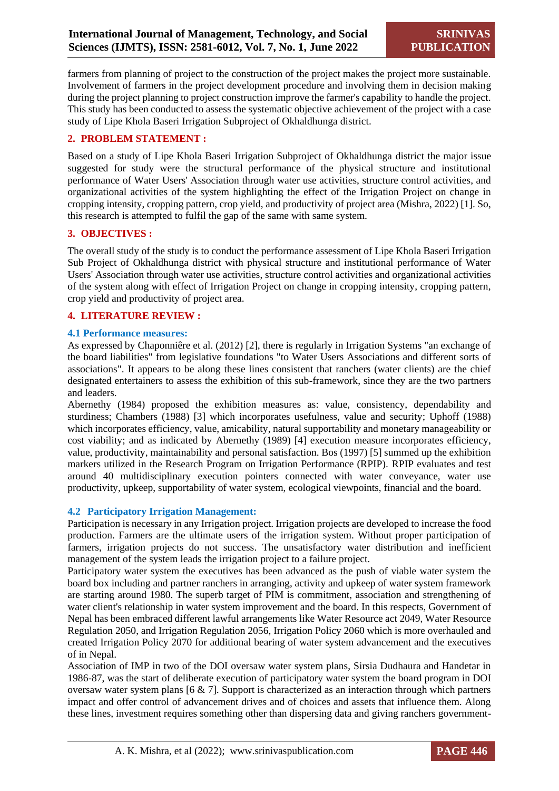farmers from planning of project to the construction of the project makes the project more sustainable. Involvement of farmers in the project development procedure and involving them in decision making during the project planning to project construction improve the farmer's capability to handle the project. This study has been conducted to assess the systematic objective achievement of the project with a case study of Lipe Khola Baseri Irrigation Subproject of Okhaldhunga district.

## **2. PROBLEM STATEMENT :**

Based on a study of Lipe Khola Baseri Irrigation Subproject of Okhaldhunga district the major issue suggested for study were the structural performance of the physical structure and institutional performance of Water Users' Association through water use activities, structure control activities, and organizational activities of the system highlighting the effect of the Irrigation Project on change in cropping intensity, cropping pattern, crop yield, and productivity of project area (Mishra, 2022) [1]. So, this research is attempted to fulfil the gap of the same with same system.

## **3. OBJECTIVES :**

The overall study of the study is to conduct the performance assessment of Lipe Khola Baseri Irrigation Sub Project of Okhaldhunga district with physical structure and institutional performance of Water Users' Association through water use activities, structure control activities and organizational activities of the system along with effect of Irrigation Project on change in cropping intensity, cropping pattern, crop yield and productivity of project area.

#### **4. LITERATURE REVIEW :**

#### **4.1 Performance measures:**

As expressed by Chaponniêre et al. (2012) [2], there is regularly in Irrigation Systems "an exchange of the board liabilities" from legislative foundations "to Water Users Associations and different sorts of associations". It appears to be along these lines consistent that ranchers (water clients) are the chief designated entertainers to assess the exhibition of this sub-framework, since they are the two partners and leaders.

Abernethy (1984) proposed the exhibition measures as: value, consistency, dependability and sturdiness; Chambers (1988) [3] which incorporates usefulness, value and security; Uphoff (1988) which incorporates efficiency, value, amicability, natural supportability and monetary manageability or cost viability; and as indicated by Abernethy (1989) [4] execution measure incorporates efficiency, value, productivity, maintainability and personal satisfaction. Bos (1997) [5] summed up the exhibition markers utilized in the Research Program on Irrigation Performance (RPIP). RPIP evaluates and test around 40 multidisciplinary execution pointers connected with water conveyance, water use productivity, upkeep, supportability of water system, ecological viewpoints, financial and the board.

## **4.2 Participatory Irrigation Management:**

Participation is necessary in any Irrigation project. Irrigation projects are developed to increase the food production. Farmers are the ultimate users of the irrigation system. Without proper participation of farmers, irrigation projects do not success. The unsatisfactory water distribution and inefficient management of the system leads the irrigation project to a failure project.

Participatory water system the executives has been advanced as the push of viable water system the board box including and partner ranchers in arranging, activity and upkeep of water system framework are starting around 1980. The superb target of PIM is commitment, association and strengthening of water client's relationship in water system improvement and the board. In this respects, Government of Nepal has been embraced different lawful arrangements like Water Resource act 2049, Water Resource Regulation 2050, and Irrigation Regulation 2056, Irrigation Policy 2060 which is more overhauled and created Irrigation Policy 2070 for additional bearing of water system advancement and the executives of in Nepal.

Association of IMP in two of the DOI oversaw water system plans, Sirsia Dudhaura and Handetar in 1986-87, was the start of deliberate execution of participatory water system the board program in DOI oversaw water system plans [6 & 7]. Support is characterized as an interaction through which partners impact and offer control of advancement drives and of choices and assets that influence them. Along these lines, investment requires something other than dispersing data and giving ranchers government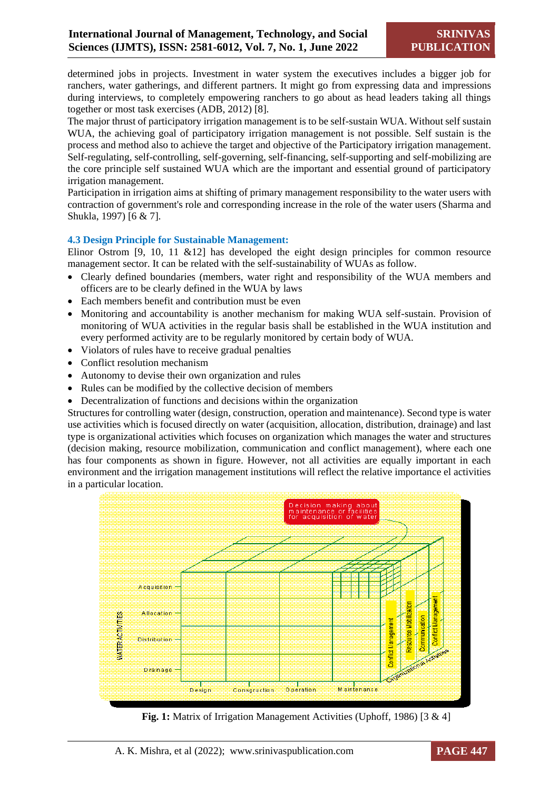determined jobs in projects. Investment in water system the executives includes a bigger job for ranchers, water gatherings, and different partners. It might go from expressing data and impressions during interviews, to completely empowering ranchers to go about as head leaders taking all things together or most task exercises (ADB, 2012) [8].

The major thrust of participatory irrigation management is to be self-sustain WUA. Without self sustain WUA, the achieving goal of participatory irrigation management is not possible. Self sustain is the process and method also to achieve the target and objective of the Participatory irrigation management. Self-regulating, self-controlling, self-governing, self-financing, self-supporting and self-mobilizing are the core principle self sustained WUA which are the important and essential ground of participatory irrigation management.

Participation in irrigation aims at shifting of primary management responsibility to the water users with contraction of government's role and corresponding increase in the role of the water users (Sharma and Shukla, 1997) [6 & 7].

#### **4.3 Design Principle for Sustainable Management:**

Elinor Ostrom  $\overline{9}$ , 10, 11 &12] has developed the eight design principles for common resource management sector. It can be related with the self-sustainability of WUAs as follow.

- Clearly defined boundaries (members, water right and responsibility of the WUA members and officers are to be clearly defined in the WUA by laws
- Each members benefit and contribution must be even
- Monitoring and accountability is another mechanism for making WUA self-sustain. Provision of monitoring of WUA activities in the regular basis shall be established in the WUA institution and every performed activity are to be regularly monitored by certain body of WUA.
- Violators of rules have to receive gradual penalties
- Conflict resolution mechanism
- Autonomy to devise their own organization and rules
- Rules can be modified by the collective decision of members
- Decentralization of functions and decisions within the organization

Structures for controlling water (design, construction, operation and maintenance). Second type is water use activities which is focused directly on water (acquisition, allocation, distribution, drainage) and last type is organizational activities which focuses on organization which manages the water and structures (decision making, resource mobilization, communication and conflict management), where each one has four components as shown in figure. However, not all activities are equally important in each environment and the irrigation management institutions will reflect the relative importance el activities in a particular location.



**Fig. 1:** Matrix of Irrigation Management Activities (Uphoff, 1986) [3 & 4]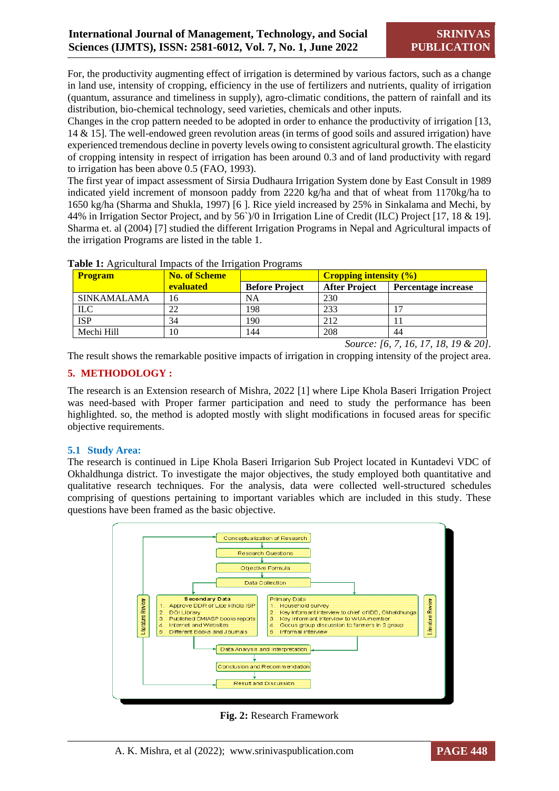For, the productivity augmenting effect of irrigation is determined by various factors, such as a change in land use, intensity of cropping, efficiency in the use of fertilizers and nutrients, quality of irrigation (quantum, assurance and timeliness in supply), agro-climatic conditions, the pattern of rainfall and its distribution, bio-chemical technology, seed varieties, chemicals and other inputs.

Changes in the crop pattern needed to be adopted in order to enhance the productivity of irrigation [13, 14 & 15]. The well-endowed green revolution areas (in terms of good soils and assured irrigation) have experienced tremendous decline in poverty levels owing to consistent agricultural growth. The elasticity of cropping intensity in respect of irrigation has been around 0.3 and of land productivity with regard to irrigation has been above 0.5 (FAO, 1993).

The first year of impact assessment of Sirsia Dudhaura Irrigation System done by East Consult in 1989 indicated yield increment of monsoon paddy from 2220 kg/ha and that of wheat from 1170kg/ha to 1650 kg/ha (Sharma and Shukla, 1997) [6 ]. Rice yield increased by 25% in Sinkalama and Mechi, by 44% in Irrigation Sector Project, and by 56`)/0 in Irrigation Line of Credit (ILC) Project [17, 18 & 19]. Sharma et. al (2004) [7] studied the different Irrigation Programs in Nepal and Agricultural impacts of the irrigation Programs are listed in the table 1.

| <b>No. of Scheme</b> |                       | <b>Cropping intensity (%)</b> |                     |
|----------------------|-----------------------|-------------------------------|---------------------|
| <b>evaluated</b>     | <b>Before Project</b> | <b>After Project</b>          | Percentage increase |
| 16                   | NA                    | 230                           |                     |
| 22                   | 198                   | 233                           |                     |
| 34                   | 190                   | 212                           |                     |
| 10                   | 144                   | 208                           | 44                  |
|                      |                       |                               |                     |

|  | Table 1: Agricultural Impacts of the Irrigation Programs |  |  |  |
|--|----------------------------------------------------------|--|--|--|
|--|----------------------------------------------------------|--|--|--|

*Source: [6, 7, 16, 17, 18, 19 & 20].*

The result shows the remarkable positive impacts of irrigation in cropping intensity of the project area.

## **5. METHODOLOGY :**

The research is an Extension research of Mishra, 2022 [1] where Lipe Khola Baseri Irrigation Project was need-based with Proper farmer participation and need to study the performance has been highlighted. so, the method is adopted mostly with slight modifications in focused areas for specific objective requirements.

## **5.1 Study Area:**

The research is continued in Lipe Khola Baseri Irrigarion Sub Project located in Kuntadevi VDC of Okhaldhunga district. To investigate the major objectives, the study employed both quantitative and qualitative research techniques. For the analysis, data were collected well-structured schedules comprising of questions pertaining to important variables which are included in this study. These questions have been framed as the basic objective.



**Fig. 2:** Research Framework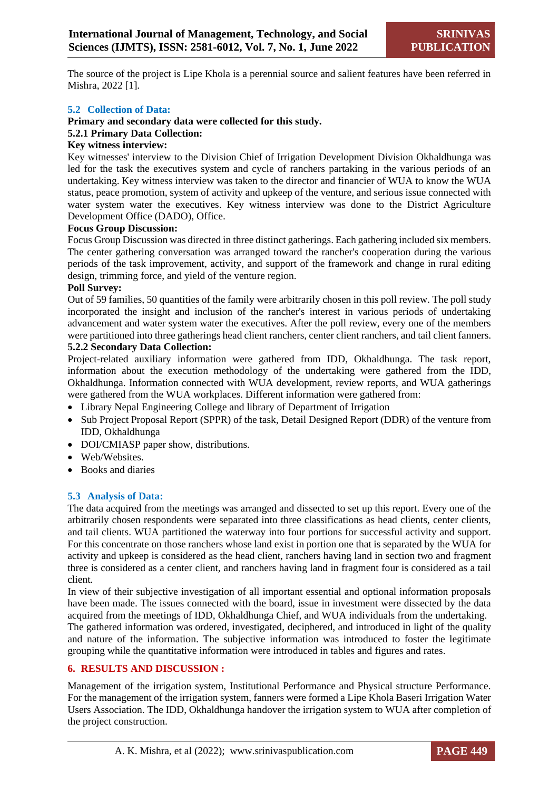The source of the project is Lipe Khola is a perennial source and salient features have been referred in Mishra, 2022 [1].

#### **5.2 Collection of Data:**

## **Primary and secondary data were collected for this study.**

#### **5.2.1 Primary Data Collection:**

#### **Key witness interview:**

Key witnesses' interview to the Division Chief of Irrigation Development Division Okhaldhunga was led for the task the executives system and cycle of ranchers partaking in the various periods of an undertaking. Key witness interview was taken to the director and financier of WUA to know the WUA status, peace promotion, system of activity and upkeep of the venture, and serious issue connected with water system water the executives. Key witness interview was done to the District Agriculture Development Office (DADO), Office.

#### **Focus Group Discussion:**

Focus Group Discussion was directed in three distinct gatherings. Each gathering included six members. The center gathering conversation was arranged toward the rancher's cooperation during the various periods of the task improvement, activity, and support of the framework and change in rural editing design, trimming force, and yield of the venture region.

#### **Poll Survey:**

Out of 59 families, 50 quantities of the family were arbitrarily chosen in this poll review. The poll study incorporated the insight and inclusion of the rancher's interest in various periods of undertaking advancement and water system water the executives. After the poll review, every one of the members were partitioned into three gatherings head client ranchers, center client ranchers, and tail client fanners.

## **5.2.2 Secondary Data Collection:**

Project-related auxiliary information were gathered from IDD, Okhaldhunga. The task report, information about the execution methodology of the undertaking were gathered from the IDD, Okhaldhunga. Information connected with WUA development, review reports, and WUA gatherings were gathered from the WUA workplaces. Different information were gathered from:

- Library Nepal Engineering College and library of Department of Irrigation
- Sub Project Proposal Report (SPPR) of the task, Detail Designed Report (DDR) of the venture from IDD, Okhaldhunga
- DOI/CMIASP paper show, distributions.
- Web/Websites.
- Books and diaries

#### **5.3 Analysis of Data:**

The data acquired from the meetings was arranged and dissected to set up this report. Every one of the arbitrarily chosen respondents were separated into three classifications as head clients, center clients, and tail clients. WUA partitioned the waterway into four portions for successful activity and support. For this concentrate on those ranchers whose land exist in portion one that is separated by the WUA for activity and upkeep is considered as the head client, ranchers having land in section two and fragment three is considered as a center client, and ranchers having land in fragment four is considered as a tail client.

In view of their subjective investigation of all important essential and optional information proposals have been made. The issues connected with the board, issue in investment were dissected by the data acquired from the meetings of IDD, Okhaldhunga Chief, and WUA individuals from the undertaking.

The gathered information was ordered, investigated, deciphered, and introduced in light of the quality and nature of the information. The subjective information was introduced to foster the legitimate grouping while the quantitative information were introduced in tables and figures and rates.

#### **6. RESULTS AND DISCUSSION :**

Management of the irrigation system, Institutional Performance and Physical structure Performance. For the management of the irrigation system, fanners were formed a Lipe Khola Baseri Irrigation Water Users Association. The IDD, Okhaldhunga handover the irrigation system to WUA after completion of the project construction.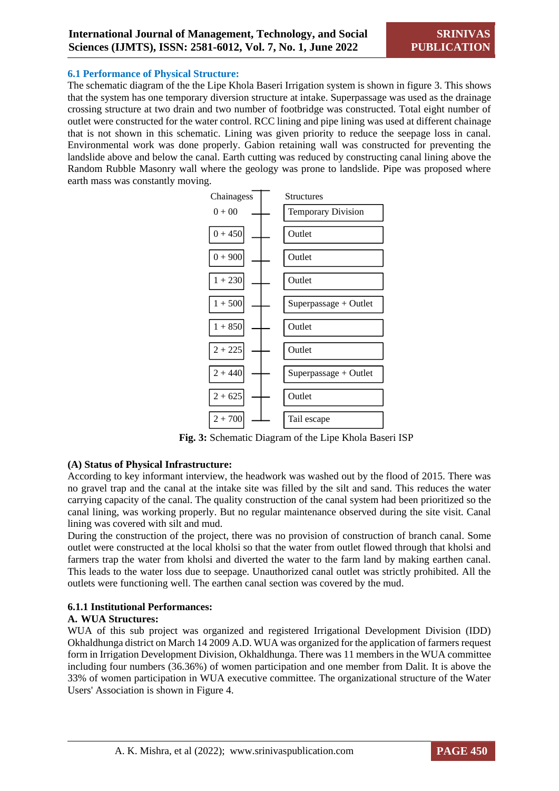#### **6.1 Performance of Physical Structure:**

The schematic diagram of the the Lipe Khola Baseri Irrigation system is shown in figure 3. This shows that the system has one temporary diversion structure at intake. Superpassage was used as the drainage crossing structure at two drain and two number of footbridge was constructed. Total eight number of outlet were constructed for the water control. RCC lining and pipe lining was used at different chainage that is not shown in this schematic. Lining was given priority to reduce the seepage loss in canal. Environmental work was done properly. Gabion retaining wall was constructed for preventing the landslide above and below the canal. Earth cutting was reduced by constructing canal lining above the Random Rubble Masonry wall where the geology was prone to landslide. Pipe was proposed where earth mass was constantly moving.



**Fig. 3:** Schematic Diagram of the Lipe Khola Baseri ISP

## **(A) Status of Physical Infrastructure:**

According to key informant interview, the headwork was washed out by the flood of 2015. There was no gravel trap and the canal at the intake site was filled by the silt and sand. This reduces the water carrying capacity of the canal. The quality construction of the canal system had been prioritized so the canal lining, was working properly. But no regular maintenance observed during the site visit. Canal lining was covered with silt and mud.

During the construction of the project, there was no provision of construction of branch canal. Some outlet were constructed at the local kholsi so that the water from outlet flowed through that kholsi and farmers trap the water from kholsi and diverted the water to the farm land by making earthen canal. This leads to the water loss due to seepage. Unauthorized canal outlet was strictly prohibited. All the outlets were functioning well. The earthen canal section was covered by the mud.

## **6.1.1 Institutional Performances:**

#### **A. WUA Structures:**

WUA of this sub project was organized and registered Irrigational Development Division (IDD) Okhaldhunga district on March 14 2009 A.D. WUA was organized for the application of farmers request form in Irrigation Development Division, Okhaldhunga. There was 11 members in the WUA committee including four numbers (36.36%) of women participation and one member from Dalit. It is above the 33% of women participation in WUA executive committee. The organizational structure of the Water Users' Association is shown in Figure 4.

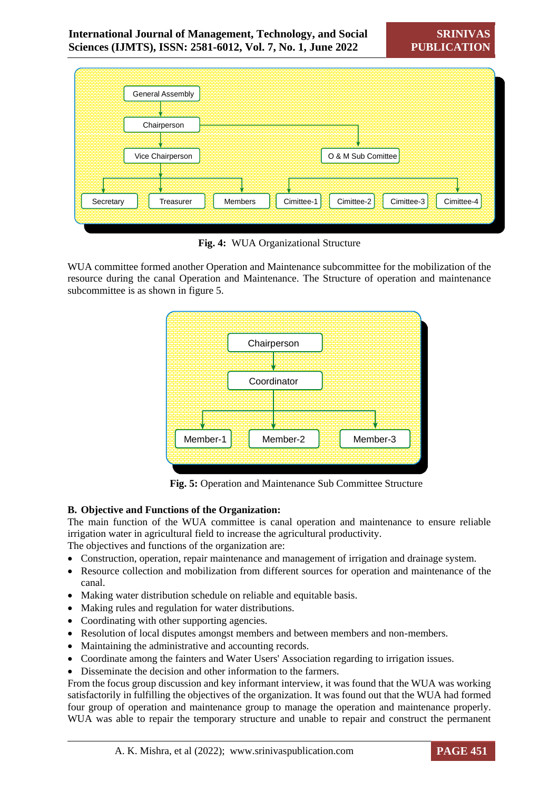| General Assembly       |                                                                 |
|------------------------|-----------------------------------------------------------------|
| Chairperson            |                                                                 |
| Vice Chairperson       | O & M Sub Comittee                                              |
| Secretary<br>Treasurer | Cimittee-3<br>Cimittee-2<br>Cimittee-4<br>Members<br>Cimittee-1 |

**Fig. 4:** WUA Organizational Structure

WUA committee formed another Operation and Maintenance subcommittee for the mobilization of the resource during the canal Operation and Maintenance. The Structure of operation and maintenance subcommittee is as shown in figure 5.



**Fig. 5:** Operation and Maintenance Sub Committee Structure

## **B. Objective and Functions of the Organization:**

The main function of the WUA committee is canal operation and maintenance to ensure reliable irrigation water in agricultural field to increase the agricultural productivity.

The objectives and functions of the organization are:

- Construction, operation, repair maintenance and management of irrigation and drainage system.
- Resource collection and mobilization from different sources for operation and maintenance of the canal.
- Making water distribution schedule on reliable and equitable basis.
- Making rules and regulation for water distributions.
- Coordinating with other supporting agencies.
- Resolution of local disputes amongst members and between members and non-members.
- Maintaining the administrative and accounting records.
- Coordinate among the fainters and Water Users' Association regarding to irrigation issues.
- Disseminate the decision and other information to the farmers.

From the focus group discussion and key informant interview, it was found that the WUA was working satisfactorily in fulfilling the objectives of the organization. It was found out that the WUA had formed four group of operation and maintenance group to manage the operation and maintenance properly. WUA was able to repair the temporary structure and unable to repair and construct the permanent

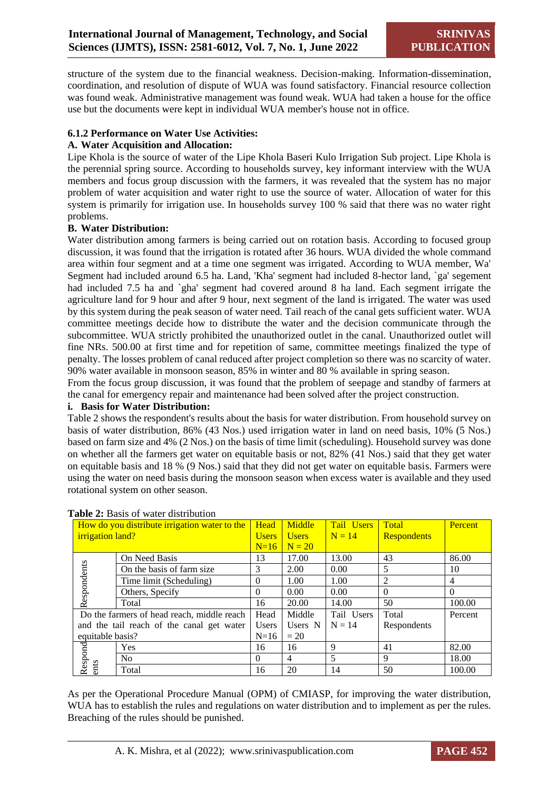structure of the system due to the financial weakness. Decision-making. Information-dissemination, coordination, and resolution of dispute of WUA was found satisfactory. Financial resource collection was found weak. Administrative management was found weak. WUA had taken a house for the office use but the documents were kept in individual WUA member's house not in office.

## **6.1.2 Performance on Water Use Activities:**

#### **A. Water Acquisition and Allocation:**

Lipe Khola is the source of water of the Lipe Khola Baseri Kulo Irrigation Sub project. Lipe Khola is the perennial spring source. According to households survey, key informant interview with the WUA members and focus group discussion with the farmers, it was revealed that the system has no major problem of water acquisition and water right to use the source of water. Allocation of water for this system is primarily for irrigation use. In households survey 100 % said that there was no water right problems.

#### **B. Water Distribution:**

Water distribution among farmers is being carried out on rotation basis. According to focused group discussion, it was found that the irrigation is rotated after 36 hours. WUA divided the whole command area within four segment and at a time one segment was irrigated. According to WUA member, Wa' Segment had included around 6.5 ha. Land, 'Kha' segment had included 8-hector land, `ga' segement had included 7.5 ha and `gha' segment had covered around 8 ha land. Each segment irrigate the agriculture land for 9 hour and after 9 hour, next segment of the land is irrigated. The water was used by this system during the peak season of water need. Tail reach of the canal gets sufficient water. WUA committee meetings decide how to distribute the water and the decision communicate through the subcommittee. WUA strictly prohibited the unauthorized outlet in the canal. Unauthorized outlet will fine NRs. 500.00 at first time and for repetition of same, committee meetings finalized the type of penalty. The losses problem of canal reduced after project completion so there was no scarcity of water. 90% water available in monsoon season, 85% in winter and 80 % available in spring season.

From the focus group discussion, it was found that the problem of seepage and standby of farmers at the canal for emergency repair and maintenance had been solved after the project construction.

#### **i. Basis for Water Distribution:**

Table 2 shows the respondent's results about the basis for water distribution. From household survey on basis of water distribution, 86% (43 Nos.) used irrigation water in land on need basis, 10% (5 Nos.) based on farm size and 4% (2 Nos.) on the basis of time limit (scheduling). Household survey was done on whether all the farmers get water on equitable basis or not, 82% (41 Nos.) said that they get water on equitable basis and 18 % (9 Nos.) said that they did not get water on equitable basis. Farmers were using the water on need basis during the monsoon season when excess water is available and they used rotational system on other season.

| irrigation land? | How do you distribute irrigation water to the | Head<br><b>Users</b> | <b>Middle</b><br><b>Users</b> | <b>Tail Users</b><br>$N = 14$ | Total<br><b>Respondents</b> | <b>Percent</b> |
|------------------|-----------------------------------------------|----------------------|-------------------------------|-------------------------------|-----------------------------|----------------|
|                  |                                               | $N=16$               | $N = 20$                      |                               |                             |                |
|                  | On Need Basis                                 | 13                   | 17.00                         | 13.00                         | 43                          | 86.00          |
| Respondents      | On the basis of farm size                     | 3                    | 2.00                          | 0.00                          | 5                           | 10             |
|                  | Time limit (Scheduling)                       | $\Omega$             | 1.00                          | 1.00                          | $\overline{2}$              | 4              |
|                  | Others, Specify                               | $\Omega$             | 0.00                          | 0.00                          | $\mathbf{0}$                | $\Omega$       |
|                  | Total                                         | 16                   | 20.00                         | 14.00                         | 50                          | 100.00         |
|                  | Do the farmers of head reach, middle reach    | Head                 | Middle                        | Tail Users                    | Total                       | Percent        |
|                  | and the tail reach of the canal get water     | <b>Users</b>         | Users N                       | $N = 14$                      | Respondents                 |                |
| equitable basis? |                                               | $N=16$               | $= 20$                        |                               |                             |                |
|                  | Yes                                           | 16                   | 16                            | 9                             | 41                          | 82.00          |
| Respond          | N <sub>0</sub>                                | $\Omega$             | 4                             | 5                             | 9                           | 18.00          |
| ents             | Total                                         | 16                   | 20                            | 14                            | 50                          | 100.00         |

#### **Table 2:** Basis of water distribution

As per the Operational Procedure Manual (OPM) of CMIASP, for improving the water distribution, WUA has to establish the rules and regulations on water distribution and to implement as per the rules. Breaching of the rules should be punished.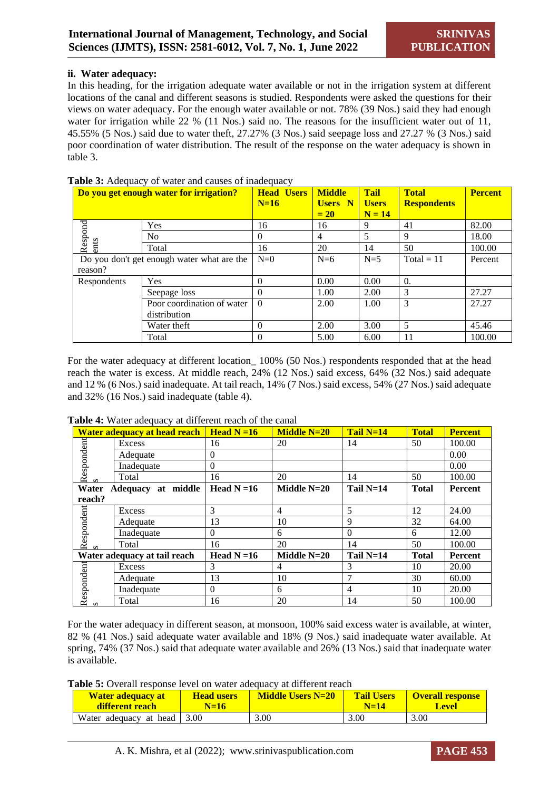#### **ii. Water adequacy:**

In this heading, for the irrigation adequate water available or not in the irrigation system at different locations of the canal and different seasons is studied. Respondents were asked the questions for their views on water adequacy. For the enough water available or not. 78% (39 Nos.) said they had enough water for irrigation while 22 % (11 Nos.) said no. The reasons for the insufficient water out of 11, 45.55% (5 Nos.) said due to water theft, 27.27% (3 Nos.) said seepage loss and 27.27 % (3 Nos.) said poor coordination of water distribution. The result of the response on the water adequacy is shown in table 3.

|                                            | Do you get enough water for irrigation? | <b>Head Users</b><br>$N=16$ | <b>Middle</b><br><b>Users</b> N<br>$= 20$ | <b>Tail</b><br><b>Users</b><br>$N = 14$ | <b>Total</b><br><b>Respondents</b> | <b>Percent</b> |
|--------------------------------------------|-----------------------------------------|-----------------------------|-------------------------------------------|-----------------------------------------|------------------------------------|----------------|
|                                            | Yes                                     | 16                          | 16                                        | 9                                       | 41                                 | 82.00          |
| Respond                                    | No.                                     | $\Omega$                    | 4                                         | 5                                       | 9                                  | 18.00          |
| ents                                       | Total                                   | 16                          | 20                                        | 14                                      | 50                                 | 100.00         |
| Do you don't get enough water what are the |                                         | $N=0$                       | $N=6$                                     | $N=5$                                   | $Total = 11$                       | Percent        |
| reason?                                    |                                         |                             |                                           |                                         |                                    |                |
| Respondents                                | Yes                                     | 0                           | 0.00                                      | 0.00                                    | $\Omega$ .                         |                |
|                                            | Seepage loss                            | 0                           | 1.00                                      | 2.00                                    | 3                                  | 27.27          |
|                                            | Poor coordination of water              | $\Omega$                    | 2.00                                      | 1.00                                    | 3                                  | 27.27          |
|                                            | distribution                            |                             |                                           |                                         |                                    |                |
|                                            | Water theft                             | $\Omega$                    | 2.00                                      | 3.00                                    | 5                                  | 45.46          |
|                                            | Total                                   | 0                           | 5.00                                      | 6.00                                    | 11                                 | 100.00         |

#### **Table 3:** Adequacy of water and causes of inadequacy

For the water adequacy at different location\_ 100% (50 Nos.) respondents responded that at the head reach the water is excess. At middle reach, 24% (12 Nos.) said excess, 64% (32 Nos.) said adequate and 12 % (6 Nos.) said inadequate. At tail reach, 14% (7 Nos.) said excess, 54% (27 Nos.) said adequate and 32% (16 Nos.) said inadequate (table 4).

|                 | <b>Water adequacy at head reach</b> | $\overline{\phantom{a}}$ Head N =16 | <b>Middle N=20</b> | Tail $N=14$ | <b>Total</b> | <b>Percent</b> |
|-----------------|-------------------------------------|-------------------------------------|--------------------|-------------|--------------|----------------|
|                 | Excess                              | 16                                  | 20                 | 14          | 50           | 100.00         |
|                 | Adequate                            | $\Omega$                            |                    |             |              | 0.00           |
|                 | Inadequate                          | $\Omega$                            |                    |             |              | 0.00           |
| Respondent      | Total                               | 16                                  | 20                 | 14          | 50           | 100.00         |
| Water           | Adequacy at middle                  | Head $N = 16$                       | Middle $N=20$      | Tail $N=14$ | <b>Total</b> | Percent        |
| reach?          |                                     |                                     |                    |             |              |                |
| Respondent      | Excess                              | 3                                   | 4                  | 5           | 12           | 24.00          |
|                 | Adequate                            | 13                                  | 10                 | 9           | 32           | 64.00          |
|                 | Inadequate                          | $\Omega$                            | 6                  | $\Omega$    | 6            | 12.00          |
|                 | Total                               | 16                                  | 20                 | 14          | 50           | 100.00         |
|                 | Water adequacy at tail reach        | Head $N = 16$                       | Middle N=20        | Tail $N=14$ | <b>Total</b> | Percent        |
|                 | Excess                              | 3                                   | 4                  | 3           | 10           | 20.00          |
| Respondent<br>s | Adequate                            | 13                                  | 10                 |             | 30           | 60.00          |
|                 | Inadequate                          | $\Omega$                            | 6                  | 4           | 10           | 20.00          |
|                 | Total                               | 16                                  | 20                 | 14          | 50           | 100.00         |

#### **Table 4:** Water adequacy at different reach of the canal

For the water adequacy in different season, at monsoon, 100% said excess water is available, at winter, 82 % (41 Nos.) said adequate water available and 18% (9 Nos.) said inadequate water available. At spring, 74% (37 Nos.) said that adequate water available and 26% (13 Nos.) said that inadequate water is available.

**Table 5:** Overall response level on water adequacy at different reach

| <b>Water adequacy at</b><br>different reach | <b>Head users</b><br>$N=16$ | <b>Middle Users N=20</b> | <b>Tail Users</b><br>$N=14$ | <b>Overall response</b><br>Level |
|---------------------------------------------|-----------------------------|--------------------------|-----------------------------|----------------------------------|
| Water adequacy at head $\vert$ 3.00         |                             | 3.00                     | 3.00                        | 3.00                             |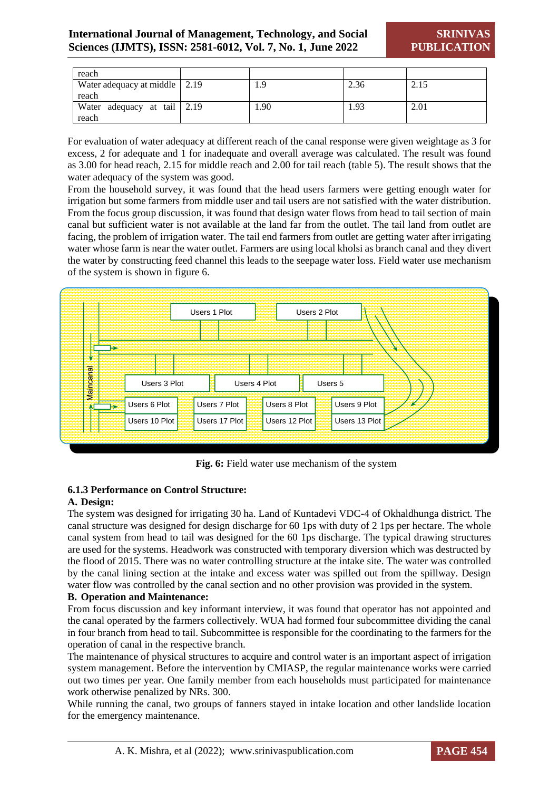**SRINIVAS PUBLICATION**

| reach                                |                 |      |      |
|--------------------------------------|-----------------|------|------|
| Water adequacy at middle 2.19        | 1.9             | 2.36 | 2.15 |
| reach                                |                 |      |      |
| Water adequacy at tail 2.19<br>reach | <sup>1.90</sup> | 1.93 | 2.01 |

For evaluation of water adequacy at different reach of the canal response were given weightage as 3 for excess, 2 for adequate and 1 for inadequate and overall average was calculated. The result was found as 3.00 for head reach, 2.15 for middle reach and 2.00 for tail reach (table 5). The result shows that the water adequacy of the system was good.

From the household survey, it was found that the head users farmers were getting enough water for irrigation but some farmers from middle user and tail users are not satisfied with the water distribution. From the focus group discussion, it was found that design water flows from head to tail section of main canal but sufficient water is not available at the land far from the outlet. The tail land from outlet are facing, the problem of irrigation water. The tail end farmers from outlet are getting water after irrigating water whose farm is near the water outlet. Farmers are using local kholsi as branch canal and they divert the water by constructing feed channel this leads to the seepage water loss. Field water use mechanism of the system is shown in figure 6.



**Fig. 6:** Field water use mechanism of the system

## **6.1.3 Performance on Control Structure:**

#### **A. Design:**

The system was designed for irrigating 30 ha. Land of Kuntadevi VDC-4 of Okhaldhunga district. The canal structure was designed for design discharge for 60 1ps with duty of 2 1ps per hectare. The whole canal system from head to tail was designed for the 60 1ps discharge. The typical drawing structures are used for the systems. Headwork was constructed with temporary diversion which was destructed by the flood of 2015. There was no water controlling structure at the intake site. The water was controlled by the canal lining section at the intake and excess water was spilled out from the spillway. Design water flow was controlled by the canal section and no other provision was provided in the system.

#### **B. Operation and Maintenance:**

From focus discussion and key informant interview, it was found that operator has not appointed and the canal operated by the farmers collectively. WUA had formed four subcommittee dividing the canal in four branch from head to tail. Subcommittee is responsible for the coordinating to the farmers for the operation of canal in the respective branch.

The maintenance of physical structures to acquire and control water is an important aspect of irrigation system management. Before the intervention by CMIASP, the regular maintenance works were carried out two times per year. One family member from each households must participated for maintenance work otherwise penalized by NRs. 300.

While running the canal, two groups of fanners stayed in intake location and other landslide location for the emergency maintenance.

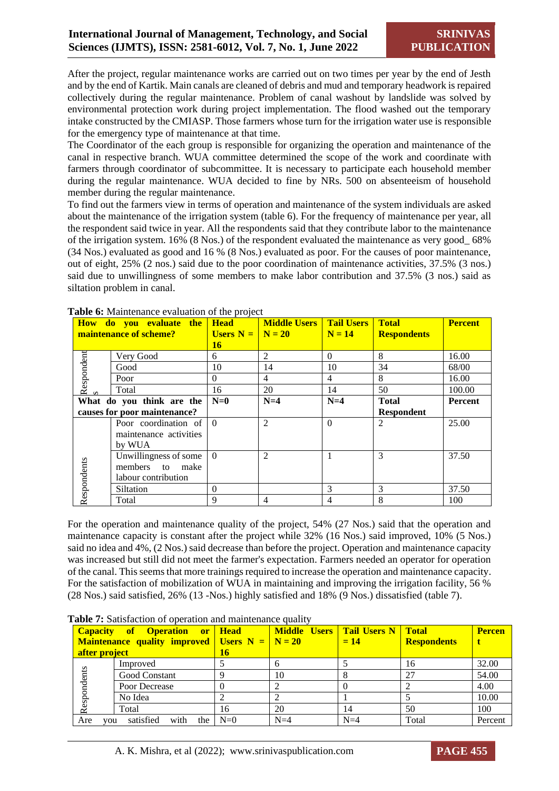After the project, regular maintenance works are carried out on two times per year by the end of Jesth and by the end of Kartik. Main canals are cleaned of debris and mud and temporary headwork is repaired collectively during the regular maintenance. Problem of canal washout by landslide was solved by environmental protection work during project implementation. The flood washed out the temporary intake constructed by the CMIASP. Those farmers whose turn for the irrigation water use is responsible for the emergency type of maintenance at that time.

The Coordinator of the each group is responsible for organizing the operation and maintenance of the canal in respective branch. WUA committee determined the scope of the work and coordinate with farmers through coordinator of subcommittee. It is necessary to participate each household member during the regular maintenance. WUA decided to fine by NRs. 500 on absenteeism of household member during the regular maintenance.

To find out the farmers view in terms of operation and maintenance of the system individuals are asked about the maintenance of the irrigation system (table 6). For the frequency of maintenance per year, all the respondent said twice in year. All the respondents said that they contribute labor to the maintenance of the irrigation system. 16% (8 Nos.) of the respondent evaluated the maintenance as very good\_ 68% (34 Nos.) evaluated as good and 16 % (8 Nos.) evaluated as poor. For the causes of poor maintenance, out of eight, 25% (2 nos.) said due to the poor coordination of maintenance activities, 37.5% (3 nos.) said due to unwillingness of some members to make labor contribution and 37.5% (3 nos.) said as siltation problem in canal.

|             | How do you evaluate the<br>maintenance of scheme? | <b>Head</b> | <b>Middle Users</b> Tail Users<br>Users $N = N = 20$ | $N = 14$       | <b>Total</b><br><b>Respondents</b> | <b>Percent</b> |
|-------------|---------------------------------------------------|-------------|------------------------------------------------------|----------------|------------------------------------|----------------|
|             |                                                   | 16          |                                                      |                |                                    |                |
|             | Very Good                                         | 6           | 2                                                    | $\Omega$       | 8                                  | 16.00          |
|             | Good                                              | 10          | 14                                                   | 10             | 34                                 | 68/00          |
| Respondent  | Poor                                              | $\Omega$    | $\overline{4}$                                       | $\overline{4}$ | 8                                  | 16.00          |
|             | Total                                             | 16          | 20                                                   | 14             | 50                                 | 100.00         |
|             | What do you think are the                         | $N=0$       | $N=4$                                                | $N=4$          | <b>Total</b>                       | <b>Percent</b> |
|             | causes for poor maintenance?                      |             |                                                      |                | <b>Respondent</b>                  |                |
|             | Poor coordination of                              | $\Omega$    | 2                                                    | $\Omega$       | 2                                  | 25.00          |
|             | maintenance activities                            |             |                                                      |                |                                    |                |
|             | by WUA                                            |             |                                                      |                |                                    |                |
|             | Unwillingness of some                             | $\Omega$    | $\overline{2}$                                       |                | 3                                  | 37.50          |
|             | members to<br>make                                |             |                                                      |                |                                    |                |
|             | labour contribution                               |             |                                                      |                |                                    |                |
| Respondents | Siltation                                         | $\Omega$    |                                                      | 3              | 3                                  | 37.50          |
|             | Total                                             | 9           | $\overline{4}$                                       | $\overline{4}$ | 8                                  | 100            |

**Table 6:** Maintenance evaluation of the project

For the operation and maintenance quality of the project, 54% (27 Nos.) said that the operation and maintenance capacity is constant after the project while 32% (16 Nos.) said improved, 10% (5 Nos.) said no idea and 4%, (2 Nos.) said decrease than before the project. Operation and maintenance capacity was increased but still did not meet the farmer's expectation. Farmers needed an operator for operation of the canal. This seems that more trainings required to increase the operation and maintenance capacity. For the satisfaction of mobilization of WUA in maintaining and improving the irrigation facility, 56 % (28 Nos.) said satisfied, 26% (13 -Nos.) highly satisfied and 18% (9 Nos.) dissatisfied (table 7).

|               | wore i'l cambrachon of operation and manuchance dually |       |                                     |       |                    |               |
|---------------|--------------------------------------------------------|-------|-------------------------------------|-------|--------------------|---------------|
|               | Capacity of Operation or Head                          |       | Middle Users   Tail Users N   Total |       |                    | <b>Percen</b> |
|               | <b>Maintenance quality improved</b> Users $N = N = 20$ |       |                                     | $=14$ | <b>Respondents</b> |               |
| after project |                                                        | 16    |                                     |       |                    |               |
|               | Improved                                               |       |                                     |       | 16                 | 32.00         |
|               | <b>Good Constant</b>                                   |       | 10                                  |       | 27                 | 54.00         |
|               | Poor Decrease                                          |       |                                     |       |                    | 4.00          |
| Respondents   | No Idea                                                |       |                                     |       |                    | 10.00         |
|               | Total                                                  | 16    | 20                                  | 14    | 50                 | 100           |
| Are<br>vou    | satisfied<br>with<br>the                               | $N=0$ | $N=4$                               | $N=4$ | Total              | Percent       |

**Table 7:** Satisfaction of operation and maintenance quality

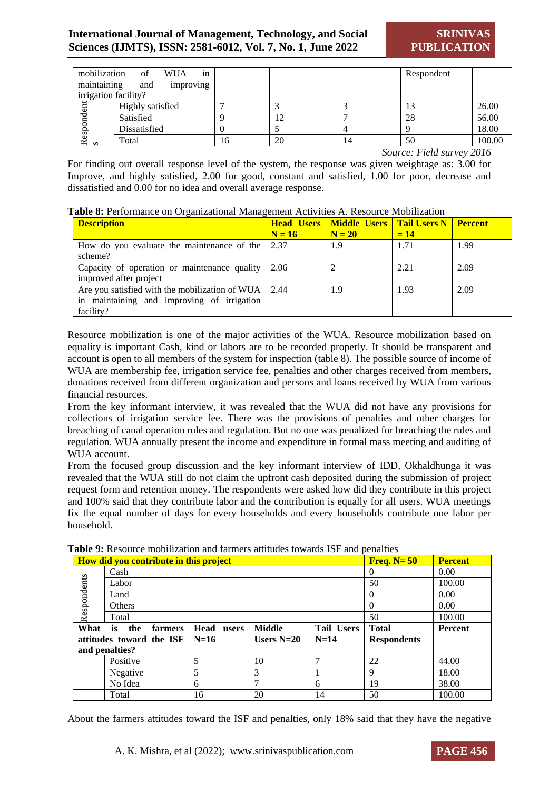| mobilization         | in<br><b>WUA</b><br>of |    |    |   | Respondent |        |
|----------------------|------------------------|----|----|---|------------|--------|
| maintaining          | and<br>improving       |    |    |   |            |        |
| irrigation facility? |                        |    |    |   |            |        |
|                      | Highly satisfied       |    |    |   |            | 26.00  |
|                      | Satisfied              |    |    |   | 28         | 56.00  |
|                      | Dissatisfied           |    |    |   |            | 18.00  |
| Respondent<br>s      | Total                  | 16 | 20 | 4 | 50         | 100.00 |

*Source: Field survey 2016*

For finding out overall response level of the system, the response was given weightage as: 3.00 for Improve, and highly satisfied, 2.00 for good, constant and satisfied, 1.00 for poor, decrease and dissatisfied and 0.00 for no idea and overall average response.

| Table 8: Performance on Organizational Management Activities A. Resource Mobilization |  |
|---------------------------------------------------------------------------------------|--|

| <b>Description</b>                                                                                             | $N = 16$ | <b>Head Users   Middle Users   Tail Users N   Percent</b><br>$N = 20$ | $= 14$ |      |
|----------------------------------------------------------------------------------------------------------------|----------|-----------------------------------------------------------------------|--------|------|
| How do you evaluate the maintenance of the $\vert$ 2.37<br>scheme?                                             |          | 1.9                                                                   | 1.71   | 1.99 |
| Capacity of operation or maintenance quality $\vert 2.06 \rangle$<br>improved after project                    |          |                                                                       | 2.21   | 2.09 |
| Are you satisfied with the mobilization of WUA 2.44<br>in maintaining and improving of irrigation<br>facility? |          | 1.9                                                                   | 1.93   | 2.09 |

Resource mobilization is one of the major activities of the WUA. Resource mobilization based on equality is important Cash, kind or labors are to be recorded properly. It should be transparent and account is open to all members of the system for inspection (table 8). The possible source of income of WUA are membership fee, irrigation service fee, penalties and other charges received from members, donations received from different organization and persons and loans received by WUA from various financial resources.

From the key informant interview, it was revealed that the WUA did not have any provisions for collections of irrigation service fee. There was the provisions of penalties and other charges for breaching of canal operation rules and regulation. But no one was penalized for breaching the rules and regulation. WUA annually present the income and expenditure in formal mass meeting and auditing of WUA account.

From the focused group discussion and the key informant interview of IDD, Okhaldhunga it was revealed that the WUA still do not claim the upfront cash deposited during the submission of project request form and retention money. The respondents were asked how did they contribute in this project and 100% said that they contribute labor and the contribution is equally for all users. WUA meetings fix the equal number of days for every households and every households contribute one labor per household.

|             | eabhe 7. Kesburee mobilization and familiers attitudes towards ist "and benames" |                      |               |                   |                    |                |  |
|-------------|----------------------------------------------------------------------------------|----------------------|---------------|-------------------|--------------------|----------------|--|
|             | <b>How did you contribute in this project</b>                                    |                      |               |                   |                    | <b>Percent</b> |  |
|             | Cash                                                                             |                      |               |                   | $\theta$           | 0.00           |  |
|             | Labor                                                                            |                      |               |                   | 50                 | 100.00         |  |
| Respondents | Land                                                                             |                      |               |                   | $\theta$           | 0.00           |  |
|             | <b>Others</b>                                                                    | $\Omega$             | 0.00          |                   |                    |                |  |
|             | Total                                                                            |                      |               | 50                | 100.00             |                |  |
| What        | the<br>farmers<br>is                                                             | <b>Head</b><br>users | <b>Middle</b> | <b>Tail Users</b> | <b>Total</b>       | <b>Percent</b> |  |
|             | attitudes toward the ISF                                                         | $N=16$               | Users $N=20$  | $N=14$            | <b>Respondents</b> |                |  |
|             | and penalties?                                                                   |                      |               |                   |                    |                |  |
|             | Positive                                                                         | 5                    | 10            |                   | 22                 | 44.00          |  |
|             | Negative                                                                         | 5                    | 3             |                   | 9                  | 18.00          |  |
|             |                                                                                  |                      |               |                   |                    |                |  |
|             | No Idea                                                                          | 6                    |               | 6                 | 19                 | 38.00          |  |

**Table 9:** Resource mobilization and farmers attitudes towards ISF and penalties

About the farmers attitudes toward the ISF and penalties, only 18% said that they have the negative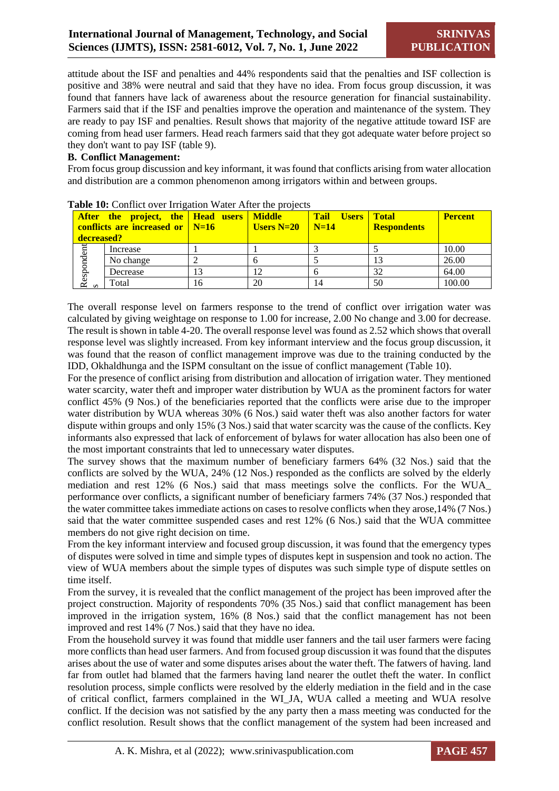attitude about the ISF and penalties and 44% respondents said that the penalties and ISF collection is positive and 38% were neutral and said that they have no idea. From focus group discussion, it was found that fanners have lack of awareness about the resource generation for financial sustainability. Farmers said that if the ISF and penalties improve the operation and maintenance of the system. They are ready to pay ISF and penalties. Result shows that majority of the negative attitude toward ISF are coming from head user farmers. Head reach farmers said that they got adequate water before project so they don't want to pay ISF (table 9).

## **B. Conflict Management:**

From focus group discussion and key informant, it was found that conflicts arising from water allocation and distribution are a common phenomenon among irrigators within and between groups.

| decreased? | <b>After the project, the Head users Middle</b><br>conflicts are increased or $\sqrt{\phantom{a}}$ N=16 |    | Users N=20 $\mid$ N=14 | Tail Users   Total | <b>Respondents</b> | <b>Percent</b> |
|------------|---------------------------------------------------------------------------------------------------------|----|------------------------|--------------------|--------------------|----------------|
|            | Increase                                                                                                |    |                        |                    |                    | 10.00          |
|            | No change                                                                                               |    |                        |                    |                    | 26.00          |
| Respondent | Decrease                                                                                                |    |                        |                    | 32                 | 64.00          |
|            | Total                                                                                                   | 16 | 20                     | 14                 | 50                 | 100.00         |

Table 10: Conflict over Irrigation Water After the projects

The overall response level on farmers response to the trend of conflict over irrigation water was calculated by giving weightage on response to 1.00 for increase, 2.00 No change and 3.00 for decrease. The result is shown in table 4-20. The overall response level was found as 2.52 which shows that overall response level was slightly increased. From key informant interview and the focus group discussion, it was found that the reason of conflict management improve was due to the training conducted by the IDD, Okhaldhunga and the ISPM consultant on the issue of conflict management (Table 10).

For the presence of conflict arising from distribution and allocation of irrigation water. They mentioned water scarcity, water theft and improper water distribution by WUA as the prominent factors for water conflict 45% (9 Nos.) of the beneficiaries reported that the conflicts were arise due to the improper water distribution by WUA whereas 30% (6 Nos.) said water theft was also another factors for water dispute within groups and only 15% (3 Nos.) said that water scarcity was the cause of the conflicts. Key informants also expressed that lack of enforcement of bylaws for water allocation has also been one of the most important constraints that led to unnecessary water disputes.

The survey shows that the maximum number of beneficiary farmers 64% (32 Nos.) said that the conflicts are solved by the WUA, 24% (12 Nos.) responded as the conflicts are solved by the elderly mediation and rest 12% (6 Nos.) said that mass meetings solve the conflicts. For the WUA\_ performance over conflicts, a significant number of beneficiary farmers 74% (37 Nos.) responded that the water committee takes immediate actions on cases to resolve conflicts when they arose,14% (7 Nos.) said that the water committee suspended cases and rest 12% (6 Nos.) said that the WUA committee members do not give right decision on time.

From the key informant interview and focused group discussion, it was found that the emergency types of disputes were solved in time and simple types of disputes kept in suspension and took no action. The view of WUA members about the simple types of disputes was such simple type of dispute settles on time itself.

From the survey, it is revealed that the conflict management of the project has been improved after the project construction. Majority of respondents 70% (35 Nos.) said that conflict management has been improved in the irrigation system, 16% (8 Nos.) said that the conflict management has not been improved and rest 14% (7 Nos.) said that they have no idea.

From the household survey it was found that middle user fanners and the tail user farmers were facing more conflicts than head user farmers. And from focused group discussion it was found that the disputes arises about the use of water and some disputes arises about the water theft. The fatwers of having. land far from outlet had blamed that the farmers having land nearer the outlet theft the water. In conflict resolution process, simple conflicts were resolved by the elderly mediation in the field and in the case of critical conflict, farmers complained in the WI\_JA, WUA called a meeting and WUA resolve conflict. If the decision was not satisfied by the any party then a mass meeting was conducted for the conflict resolution. Result shows that the conflict management of the system had been increased and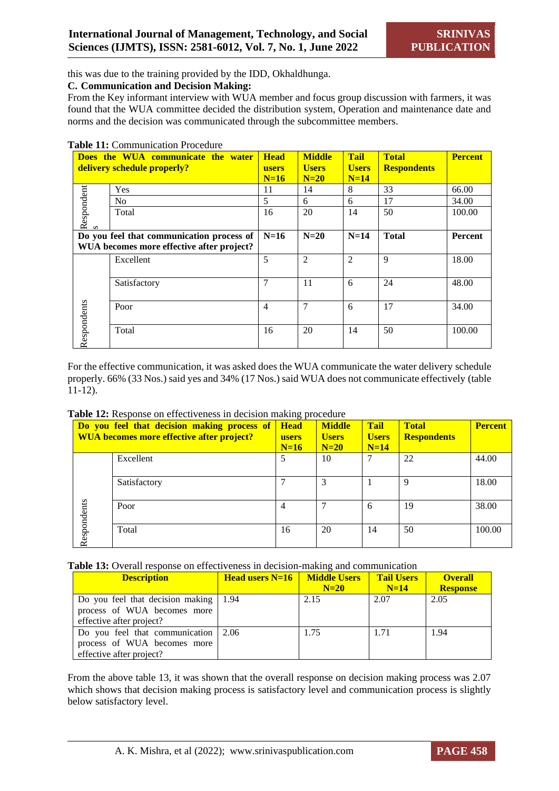this was due to the training provided by the IDD, Okhaldhunga.

#### **C. Communication and Decision Making:**

From the Key informant interview with WUA member and focus group discussion with farmers, it was found that the WUA committee decided the distribution system, Operation and maintenance date and norms and the decision was communicated through the subcommittee members.

#### **Table 11:** Communication Procedure

| Does the WUA communicate the water        |                                           | <b>Head</b>    | <b>Middle</b>          | <b>Tail</b>    | <b>Total</b>       | <b>Percent</b> |
|-------------------------------------------|-------------------------------------------|----------------|------------------------|----------------|--------------------|----------------|
|                                           | delivery schedule properly?               | <b>users</b>   | <b>Users</b><br>$N=20$ | <b>Users</b>   | <b>Respondents</b> |                |
|                                           |                                           | $N=16$         |                        | $N=14$         |                    |                |
|                                           | Yes                                       | 11             | 14                     | 8              | 33                 | 66.00          |
|                                           | N <sub>0</sub>                            | 5              | 6                      | 6              | 17                 | 34.00          |
|                                           | Total                                     | 16             | 20                     | 14             | 50                 | 100.00         |
| Respondent                                |                                           |                |                        |                |                    |                |
| Do you feel that communication process of |                                           | $N=16$         | $N=20$                 | $N=14$         | <b>Total</b>       | Percent        |
|                                           | WUA becomes more effective after project? |                |                        |                |                    |                |
|                                           | Excellent                                 | 5              | $\overline{2}$         | $\overline{2}$ | 9                  | 18.00          |
|                                           |                                           |                |                        |                |                    |                |
|                                           | Satisfactory                              | 7              | 11                     | 6              | 24                 | 48.00          |
|                                           |                                           |                |                        |                |                    |                |
|                                           | Poor                                      | $\overline{4}$ | $\overline{7}$         | 6              | 17                 | 34.00          |
|                                           |                                           |                |                        |                |                    |                |
|                                           | Total                                     | 16             | 20                     | 14             | 50                 | 100.00         |
| Respondents                               |                                           |                |                        |                |                    |                |

For the effective communication, it was asked does the WUA communicate the water delivery schedule properly. 66% (33 Nos.) said yes and 34% (17 Nos.) said WUA does not communicate effectively (table 11-12).

| Table 12: Response on effectiveness in decision making procedure |  |  |  |  |  |
|------------------------------------------------------------------|--|--|--|--|--|
|------------------------------------------------------------------|--|--|--|--|--|

|             | Do you feel that decision making process of<br>WUA becomes more effective after project? | <b>Head</b><br>users<br>$N=16$ | <b>Middle</b><br><b>Users</b><br>$N=20$ | <b>Tail</b><br><b>Users</b><br>$N=14$ | <b>Total</b><br><b>Respondents</b> | <b>Percent</b> |
|-------------|------------------------------------------------------------------------------------------|--------------------------------|-----------------------------------------|---------------------------------------|------------------------------------|----------------|
|             | Excellent                                                                                | 5                              | 10                                      | 7                                     | 22                                 | 44.00          |
|             | Satisfactory                                                                             |                                | 3                                       |                                       | 9                                  | 18.00          |
| Respondents | Poor                                                                                     | $\overline{4}$                 | ⇁                                       | 6                                     | 19                                 | 38.00          |
|             | Total                                                                                    | 16                             | 20                                      | 14                                    | 50                                 | 100.00         |

**Table 13:** Overall response on effectiveness in decision-making and communication

| <b>Description</b>                                                                                             | <b>Head users N=16</b> Middle Users | $N=20$ | <b>Tail Users</b><br>$N=14$ | <b>Overall</b><br><b>Response</b> |
|----------------------------------------------------------------------------------------------------------------|-------------------------------------|--------|-----------------------------|-----------------------------------|
| Do you feel that decision making $\vert$ 1.94<br>process of WUA becomes more<br>effective after project?       |                                     | 2.15   | 2.07                        | 2.05                              |
| Do you feel that communication $\vert 2.06 \rangle$<br>process of WUA becomes more<br>effective after project? |                                     | 1.75   | 1.71                        | 1.94                              |

From the above table 13, it was shown that the overall response on decision making process was 2.07 which shows that decision making process is satisfactory level and communication process is slightly below satisfactory level.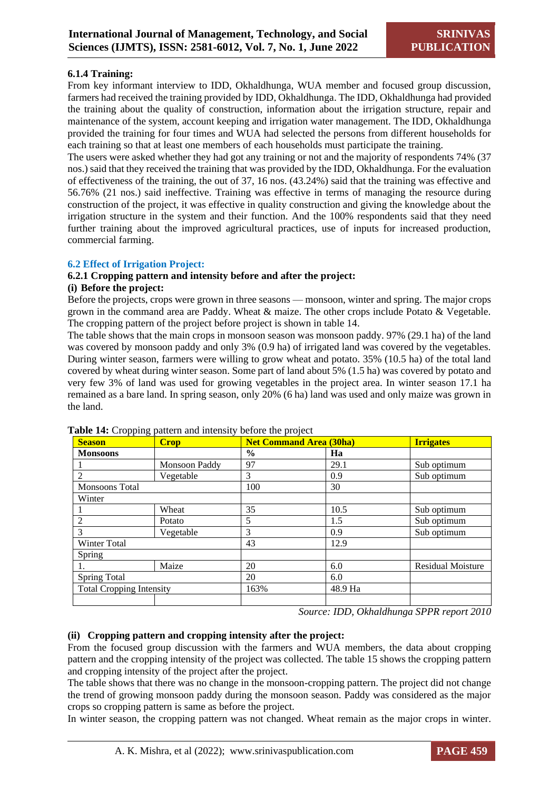#### **6.1.4 Training:**

From key informant interview to IDD, Okhaldhunga, WUA member and focused group discussion, farmers had received the training provided by IDD, Okhaldhunga. The IDD, Okhaldhunga had provided the training about the quality of construction, information about the irrigation structure, repair and maintenance of the system, account keeping and irrigation water management. The IDD, Okhaldhunga provided the training for four times and WUA had selected the persons from different households for each training so that at least one members of each households must participate the training.

The users were asked whether they had got any training or not and the majority of respondents 74% (37 nos.) said that they received the training that was provided by the IDD, Okhaldhunga. For the evaluation of effectiveness of the training, the out of 37, 16 nos. (43.24%) said that the training was effective and 56.76% (21 nos.) said ineffective. Training was effective in terms of managing the resource during construction of the project, it was effective in quality construction and giving the knowledge about the irrigation structure in the system and their function. And the 100% respondents said that they need further training about the improved agricultural practices, use of inputs for increased production, commercial farming.

#### **6.2 Effect of Irrigation Project:**

#### **6.2.1 Cropping pattern and intensity before and after the project:**

#### **(i) Before the project:**

Before the projects, crops were grown in three seasons — monsoon, winter and spring. The major crops grown in the command area are Paddy. Wheat & maize. The other crops include Potato & Vegetable. The cropping pattern of the project before project is shown in table 14.

The table shows that the main crops in monsoon season was monsoon paddy. 97% (29.1 ha) of the land was covered by monsoon paddy and only 3% (0.9 ha) of irrigated land was covered by the vegetables. During winter season, farmers were willing to grow wheat and potato. 35% (10.5 ha) of the total land covered by wheat during winter season. Some part of land about 5% (1.5 ha) was covered by potato and very few 3% of land was used for growing vegetables in the project area. In winter season 17.1 ha remained as a bare land. In spring season, only 20% (6 ha) land was used and only maize was grown in the land.

| $\cdot$ rr $\sim$ or<br><b>Season</b> | <b>Crop</b>   | <b>Net Command Area (30ha)</b> |         | <b>Irrigates</b>         |
|---------------------------------------|---------------|--------------------------------|---------|--------------------------|
| <b>Monsoons</b>                       |               | $\frac{0}{0}$                  | Ha      |                          |
|                                       | Monsoon Paddy | 97                             | 29.1    | Sub optimum              |
| $\overline{2}$                        | Vegetable     | 3                              | 0.9     | Sub optimum              |
| <b>Monsoons</b> Total                 |               | 100                            | 30      |                          |
| Winter                                |               |                                |         |                          |
|                                       | Wheat         | 35                             | 10.5    | Sub optimum              |
| $\overline{2}$                        | Potato        | 5                              | 1.5     | Sub optimum              |
| 3                                     | Vegetable     | 3                              | 0.9     | Sub optimum              |
| Winter Total                          |               | 43                             | 12.9    |                          |
| Spring                                |               |                                |         |                          |
|                                       | Maize         | 20                             | 6.0     | <b>Residual Moisture</b> |
| Spring Total                          |               | 20                             | 6.0     |                          |
| <b>Total Cropping Intensity</b>       |               | 163%                           | 48.9 Ha |                          |
|                                       |               |                                |         |                          |

#### **Table 14:** Cropping pattern and intensity before the project

*Source: IDD, Okhaldhunga SPPR report 2010*

#### **(ii) Cropping pattern and cropping intensity after the project:**

From the focused group discussion with the farmers and WUA members, the data about cropping pattern and the cropping intensity of the project was collected. The table 15 shows the cropping pattern and cropping intensity of the project after the project.

The table shows that there was no change in the monsoon-cropping pattern. The project did not change the trend of growing monsoon paddy during the monsoon season. Paddy was considered as the major crops so cropping pattern is same as before the project.

In winter season, the cropping pattern was not changed. Wheat remain as the major crops in winter.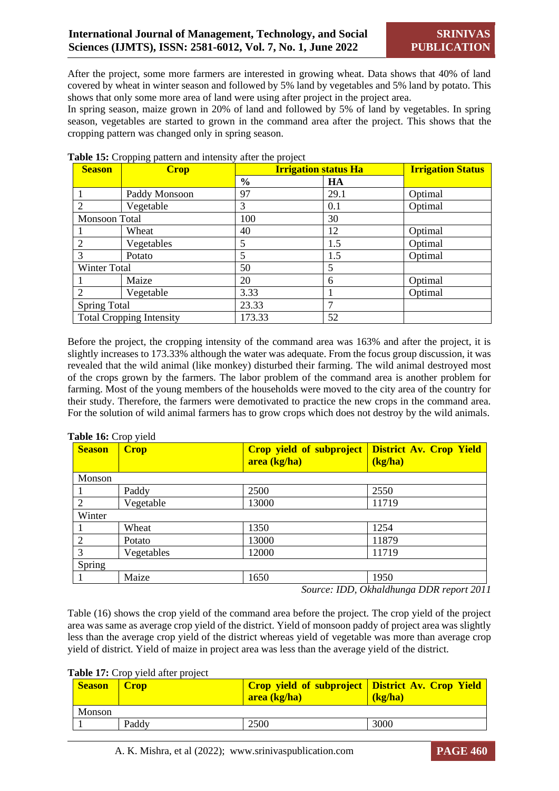After the project, some more farmers are interested in growing wheat. Data shows that 40% of land covered by wheat in winter season and followed by 5% land by vegetables and 5% land by potato. This shows that only some more area of land were using after project in the project area.

In spring season, maize grown in 20% of land and followed by 5% of land by vegetables. In spring season, vegetables are started to grown in the command area after the project. This shows that the cropping pattern was changed only in spring season.

| <b>Season</b>               | <b>Crop</b>                     | <b>Irrigation status Ha</b> |      | <b>Irrigation Status</b> |
|-----------------------------|---------------------------------|-----------------------------|------|--------------------------|
|                             |                                 | $\frac{0}{0}$               | HA   |                          |
|                             | Paddy Monsoon                   | 97                          | 29.1 | Optimal                  |
|                             | Vegetable                       | 3                           | 0.1  | Optimal                  |
| Monsoon Total               |                                 | 100                         | 30   |                          |
|                             | Wheat                           | 40                          | 12   | Optimal                  |
|                             | Vegetables                      | 5                           | 1.5  | Optimal                  |
| 3                           | Potato                          | 5                           | 1.5  | Optimal                  |
| Winter Total                |                                 | 50                          | 5    |                          |
|                             | Maize                           | 20                          | 6    | Optimal                  |
| $\mathcal{D}_{\mathcal{A}}$ | Vegetable                       | 3.33                        |      | Optimal                  |
| <b>Spring Total</b>         |                                 | 23.33                       | 7    |                          |
|                             | <b>Total Cropping Intensity</b> | 173.33                      | 52   |                          |

#### **Table 15:** Cropping pattern and intensity after the project

Before the project, the cropping intensity of the command area was 163% and after the project, it is slightly increases to 173.33% although the water was adequate. From the focus group discussion, it was revealed that the wild animal (like monkey) disturbed their farming. The wild animal destroyed most of the crops grown by the farmers. The labor problem of the command area is another problem for farming. Most of the young members of the households were moved to the city area of the country for their study. Therefore, the farmers were demotivated to practice the new crops in the command area. For the solution of wild animal farmers has to grow crops which does not destroy by the wild animals.

#### **Table 16:** Crop yield

| <b>Season</b>  | <b>Crop</b> | <b>Crop yield of subproject</b><br>area (kg/ha) | <b>District Av. Crop Yield</b><br>(kg/ha) |
|----------------|-------------|-------------------------------------------------|-------------------------------------------|
| Monson         |             |                                                 |                                           |
|                | Paddy       | 2500                                            | 2550                                      |
| $\overline{2}$ | Vegetable   | 13000                                           | 11719                                     |
| Winter         |             |                                                 |                                           |
|                | Wheat       | 1350                                            | 1254                                      |
| 2              | Potato      | 13000                                           | 11879                                     |
| 3              | Vegetables  | 12000                                           | 11719                                     |
| Spring         |             |                                                 |                                           |
|                | Maize       | 1650                                            | 1950                                      |

*Source: IDD, Okhaldhunga DDR report 2011*

Table (16) shows the crop yield of the command area before the project. The crop yield of the project area was same as average crop yield of the district. Yield of monsoon paddy of project area was slightly less than the average crop yield of the district whereas yield of vegetable was more than average crop yield of district. Yield of maize in project area was less than the average yield of the district.

Table 17: Crop yield after project

| <b>Season</b> | <b>Crop</b> | <b>Crop yield of subproject District Av. Crop Yield</b><br>area (kg/ha) | (kz/ha) |  |  |  |
|---------------|-------------|-------------------------------------------------------------------------|---------|--|--|--|
| Monson        |             |                                                                         |         |  |  |  |
|               | Paddy       | 2500                                                                    | 3000    |  |  |  |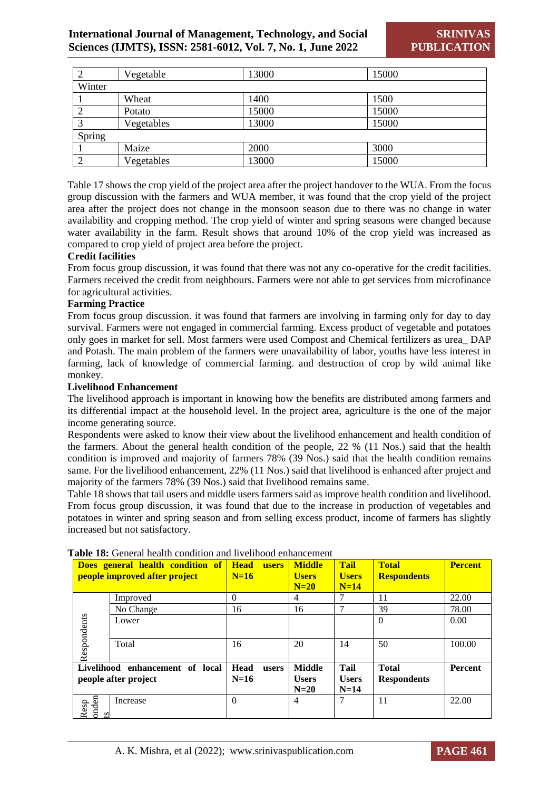|                | Vegetable  | 13000 | 15000 |  |  |
|----------------|------------|-------|-------|--|--|
| Winter         |            |       |       |  |  |
|                | Wheat      | 1400  | 1500  |  |  |
|                | Potato     | 15000 | 15000 |  |  |
|                | Vegetables | 13000 | 15000 |  |  |
| Spring         |            |       |       |  |  |
|                | Maize      | 2000  | 3000  |  |  |
| $\overline{2}$ | Vegetables | 13000 | 15000 |  |  |

Table 17 shows the crop yield of the project area after the project handover to the WUA. From the focus group discussion with the farmers and WUA member, it was found that the crop yield of the project area after the project does not change in the monsoon season due to there was no change in water availability and cropping method. The crop yield of winter and spring seasons were changed because water availability in the farm. Result shows that around 10% of the crop yield was increased as compared to crop yield of project area before the project.

#### **Credit facilities**

From focus group discussion, it was found that there was not any co-operative for the credit facilities. Farmers received the credit from neighbours. Farmers were not able to get services from microfinance for agricultural activities.

#### **Farming Practice**

From focus group discussion. it was found that farmers are involving in farming only for day to day survival. Farmers were not engaged in commercial farming. Excess product of vegetable and potatoes only goes in market for sell. Most farmers were used Compost and Chemical fertilizers as urea\_ DAP and Potash. The main problem of the farmers were unavailability of labor, youths have less interest in farming, lack of knowledge of commercial farming. and destruction of crop by wild animal like monkey.

#### **Livelihood Enhancement**

The livelihood approach is important in knowing how the benefits are distributed among farmers and its differential impact at the household level. In the project area, agriculture is the one of the major income generating source.

Respondents were asked to know their view about the livelihood enhancement and health condition of the farmers. About the general health condition of the people, 22 % (11 Nos.) said that the health condition is improved and majority of farmers 78% (39 Nos.) said that the health condition remains same. For the livelihood enhancement, 22% (11 Nos.) said that livelihood is enhanced after project and majority of the farmers 78% (39 Nos.) said that livelihood remains same.

Table 18 shows that tail users and middle users farmers said as improve health condition and livelihood. From focus group discussion, it was found that due to the increase in production of vegetables and potatoes in winter and spring season and from selling excess product, income of farmers has slightly increased but not satisfactory.

| Does general health condition of<br>people improved after project |           | <b>Head</b><br><b>users</b><br>$N=16$ | <b>Middle</b><br><b>Users</b><br>$N=20$ | <b>Tail</b><br><b>Users</b><br>$N=14$ | <b>Total</b><br><b>Respondents</b> | <b>Percent</b> |
|-------------------------------------------------------------------|-----------|---------------------------------------|-----------------------------------------|---------------------------------------|------------------------------------|----------------|
|                                                                   | Improved  | 0                                     | 4                                       |                                       | 11                                 | 22.00          |
|                                                                   | No Change | 16                                    | 16                                      | 7                                     | 39                                 | 78.00          |
| Respondents                                                       | Lower     |                                       |                                         |                                       | 0                                  | 0.00           |
|                                                                   | Total     | 16                                    | 20                                      | 14                                    | 50                                 | 100.00         |
| Livelihood enhancement of local                                   |           | <b>Head</b><br>users                  | <b>Middle</b>                           | Tail                                  | <b>Total</b>                       | <b>Percent</b> |
| people after project                                              |           | $N=16$                                | <b>Users</b><br>$N=20$                  | <b>Users</b><br>$N=14$                | <b>Respondents</b>                 |                |
| onden<br>Resp<br>$\mathbf{S}$                                     | Increase  | $\theta$                              | 4                                       | 7                                     | 11                                 | 22.00          |

#### **Table 18:** General health condition and livelihood enhancement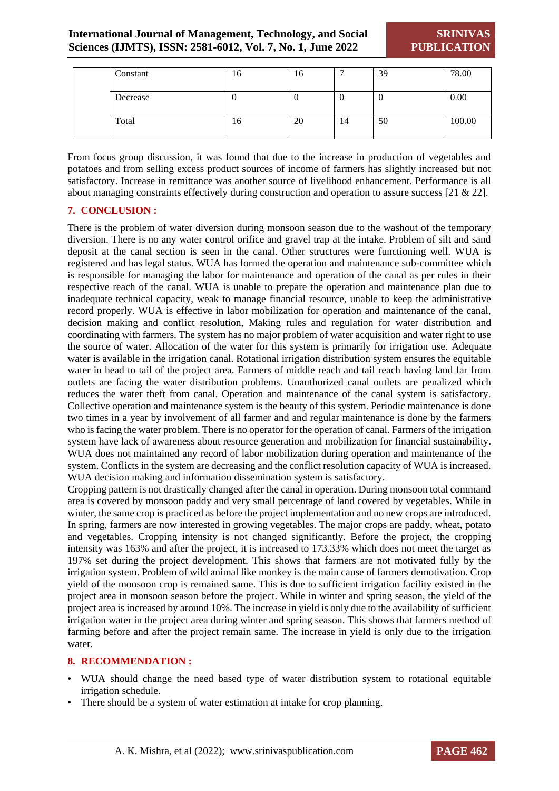**SRINIVAS PUBLICATION**

|  | Constant | 16 | 16 |    | 39 | 78.00  |
|--|----------|----|----|----|----|--------|
|  | Decrease |    | ν  | ν  | υ  | 0.00   |
|  | Total    | 16 | 20 | 14 | 50 | 100.00 |

From focus group discussion, it was found that due to the increase in production of vegetables and potatoes and from selling excess product sources of income of farmers has slightly increased but not satisfactory. Increase in remittance was another source of livelihood enhancement. Performance is all about managing constraints effectively during construction and operation to assure success [21 & 22].

#### **7. CONCLUSION :**

There is the problem of water diversion during monsoon season due to the washout of the temporary diversion. There is no any water control orifice and gravel trap at the intake. Problem of silt and sand deposit at the canal section is seen in the canal. Other structures were functioning well. WUA is registered and has legal status. WUA has formed the operation and maintenance sub-committee which is responsible for managing the labor for maintenance and operation of the canal as per rules in their respective reach of the canal. WUA is unable to prepare the operation and maintenance plan due to inadequate technical capacity, weak to manage financial resource, unable to keep the administrative record properly. WUA is effective in labor mobilization for operation and maintenance of the canal, decision making and conflict resolution, Making rules and regulation for water distribution and coordinating with farmers. The system has no major problem of water acquisition and water right to use the source of water. Allocation of the water for this system is primarily for irrigation use. Adequate water is available in the irrigation canal. Rotational irrigation distribution system ensures the equitable water in head to tail of the project area. Farmers of middle reach and tail reach having land far from outlets are facing the water distribution problems. Unauthorized canal outlets are penalized which reduces the water theft from canal. Operation and maintenance of the canal system is satisfactory. Collective operation and maintenance system is the beauty of this system. Periodic maintenance is done two times in a year by involvement of all farmer and and regular maintenance is done by the farmers who is facing the water problem. There is no operator for the operation of canal. Farmers of the irrigation system have lack of awareness about resource generation and mobilization for financial sustainability. WUA does not maintained any record of labor mobilization during operation and maintenance of the system. Conflicts in the system are decreasing and the conflict resolution capacity of WUA is increased. WUA decision making and information dissemination system is satisfactory.

Cropping pattern is not drastically changed after the canal in operation. During monsoon total command area is covered by monsoon paddy and very small percentage of land covered by vegetables. While in winter, the same crop is practiced as before the project implementation and no new crops are introduced. In spring, farmers are now interested in growing vegetables. The major crops are paddy, wheat, potato and vegetables. Cropping intensity is not changed significantly. Before the project, the cropping intensity was 163% and after the project, it is increased to 173.33% which does not meet the target as 197% set during the project development. This shows that farmers are not motivated fully by the irrigation system. Problem of wild animal like monkey is the main cause of farmers demotivation. Crop yield of the monsoon crop is remained same. This is due to sufficient irrigation facility existed in the project area in monsoon season before the project. While in winter and spring season, the yield of the project area is increased by around 10%. The increase in yield is only due to the availability of sufficient irrigation water in the project area during winter and spring season. This shows that farmers method of farming before and after the project remain same. The increase in yield is only due to the irrigation water.

#### **8. RECOMMENDATION :**

- WUA should change the need based type of water distribution system to rotational equitable irrigation schedule.
- There should be a system of water estimation at intake for crop planning.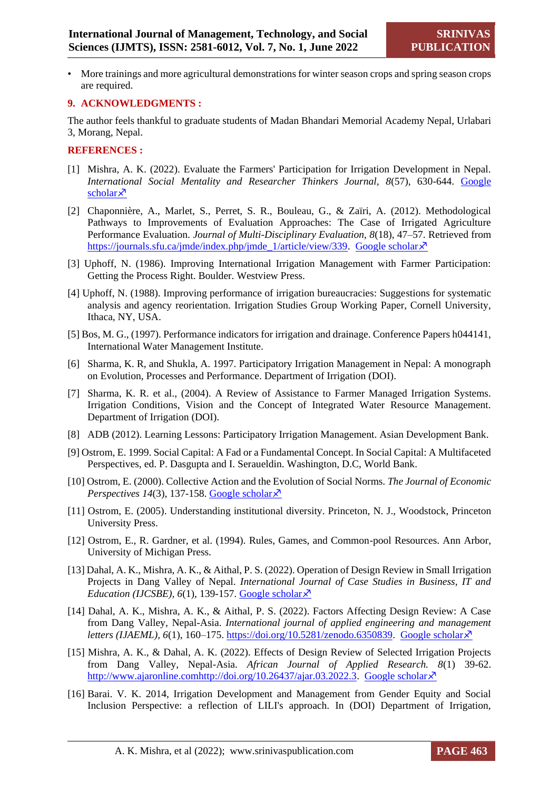• More trainings and more agricultural demonstrations for winter season crops and spring season crops are required.

#### **9. ACKNOWLEDGMENTS :**

The author feels thankful to graduate students of Madan Bhandari Memorial Academy Nepal, Urlabari 3, Morang, Nepal.

#### **REFERENCES :**

- [1] Mishra, A. K. (2022). Evaluate the Farmers' Participation for Irrigation Development in Nepal. *International Social Mentality and Researcher Thinkers Journal, 8*(57), 630-644. [Google](https://www.researchgate.net/profile/Anjay-Mishra/publication/359508647_Evaluate_the_Farmers)  [scholar](https://www.researchgate.net/profile/Anjay-Mishra/publication/359508647_Evaluate_the_Farmers) $\lambda$
- [2] Chaponnière, A., Marlet, S., Perret, S. R., Bouleau, G., & Zaïri, A. (2012). Methodological Pathways to Improvements of Evaluation Approaches: The Case of Irrigated Agriculture Performance Evaluation. *Journal of Multi-Disciplinary Evaluation, 8*(18), 47–57. Retrieved from [https://journals.sfu.ca/jmde/index.php/jmde\\_1/article/view/339.](https://journals.sfu.ca/jmde/index.php/jmde_1/article/view/339) [Google scholar](https://hal.archives-ouvertes.fr/hal-00764051/) $\lambda$ <sup>7</sup>
- [3] Uphoff, N. (1986). Improving International Irrigation Management with Farmer Participation: Getting the Process Right. Boulder. Westview Press.
- [4] Uphoff, N. (1988). Improving performance of irrigation bureaucracies: Suggestions for systematic analysis and agency reorientation. Irrigation Studies Group Working Paper, Cornell University, Ithaca, NY, USA.
- [5] Bos, M. G., (1997). Performance indicators for irrigation and drainage. Conference Papers h044141, International Water Management Institute.
- [6] Sharma, K. R, and Shukla, A. 1997. Participatory Irrigation Management in Nepal: A monograph on Evolution, Processes and Performance. Department of Irrigation (DOI).
- [7] Sharma, K. R. et al., (2004). A Review of Assistance to Farmer Managed Irrigation Systems. Irrigation Conditions, Vision and the Concept of Integrated Water Resource Management. Department of Irrigation (DOI).
- [8] ADB (2012). Learning Lessons: Participatory Irrigation Management. Asian Development Bank.
- [9] Ostrom, E. 1999. Social Capital: A Fad or a Fundamental Concept. In Social Capital: A Multifaceted Perspectives, ed. P. Dasgupta and I. Seraueldin. Washington, D.C, World Bank.
- [10] Ostrom, E. (2000). Collective Action and the Evolution of Social Norms. *The Journal of Economic Perspectives 14*(3), 137-158. [Google scholar](https://www.aeaweb.org/articles?id=10.1257/jep.14.3.137) $\overline{\mathcal{X}}$
- [11] Ostrom, E. (2005). Understanding institutional diversity. Princeton, N. J., Woodstock, Princeton University Press.
- [12] Ostrom, E., R. Gardner, et al. (1994). Rules, Games, and Common-pool Resources. Ann Arbor, University of Michigan Press.
- [13] Dahal, A. K., Mishra, A. K., & Aithal, P. S. (2022). Operation of Design Review in Small Irrigation Projects in Dang Valley of Nepal. *International Journal of Case Studies in Business, IT and Education (IJCSBE), 6(1), 139-157. [Google scholar](https://scholar.archive.org/work/zuyo5ecy2zfylfbujx65dz3vya/access/wayback/https:/srinivaspublication.com/journal/index.php/ijcsbe/article/download/1255/615/1468)* $\lambda$ <sup>7</sup>
- [14] Dahal, A. K., Mishra, A. K., & Aithal, P. S. (2022). Factors Affecting Design Review: A Case from Dang Valley, Nepal-Asia. *International journal of applied engineering and management letters (IJAEML), 6(1), 160–175. [https://doi.org/10.5281/zenodo.6350839.](https://doi.org/10.5281/zenodo.6350839) [Google scholar](https://scholar.archive.org/work/cp64vtvruvdxddz2l3t334sr7y/access/wayback/https:/srinivaspublication.com/journal/index.php/ijaeml/article/download/1275/623/1508)* $\lambda$ <sup>3</sup>
- [15] Mishra, A. K., & Dahal, A. K. (2022). Effects of Design Review of Selected Irrigation Projects from Dang Valley, Nepal-Asia. *African Journal of Applied Research. 8*(1) 39-62. [http://www.ajaronline.comhttp://doi.org/10.26437/ajar.03.2022.3.](http://www.ajaronline.comhttp/doi.org/10.26437/ajar.03.2022.3) [Google scholar](https://www.ajaronline.com/index.php/AJAR/article/view/443) $\lambda$ <sup>7</sup>
- [16] Barai. V. K. 2014, Irrigation Development and Management from Gender Equity and Social Inclusion Perspective: a reflection of LILI's approach. In (DOI) Department of Irrigation,